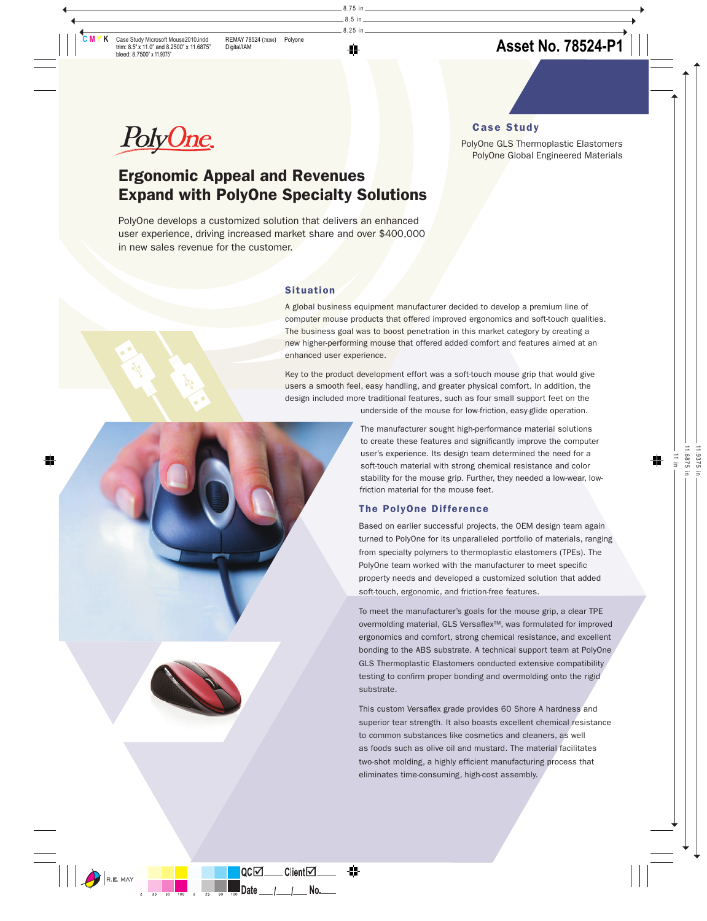Case Study



# PolyOne GLS Thermoplastic Elastomers PolyOne Global Engineered Materials

# Ergonomic Appeal and Revenues Expand with PolyOne Specialty Solutions

PolyOne develops a customized solution that delivers an enhanced user experience, driving increased market share and over \$400,000 in new sales revenue for the customer.

# Situation

A global business equipment manufacturer decided to develop a premium line of computer mouse products that offered improved ergonomics and soft-touch qualities. The business goal was to boost penetration in this market category by creating a new higher-performing mouse that offered added comfort and features aimed at an enhanced user experience.

Key to the product development effort was a soft-touch mouse grip that would give users a smooth feel, easy handling, and greater physical comfort. In addition, the design included more traditional features, such as four small support feet on the

underside of the mouse for low-friction, easy-glide operation.

The manufacturer sought high-performance material solutions to create these features and significantly improve the computer user's experience. Its design team determined the need for a soft-touch material with strong chemical resistance and color stability for the mouse grip. Further, they needed a low-wear, lowfriction material for the mouse feet.

# The PolyOne Difference

Based on earlier successful projects, the OEM design team again turned to PolyOne for its unparalleled portfolio of materials, ranging from specialty polymers to thermoplastic elastomers (TPEs). The PolyOne team worked with the manufacturer to meet specific property needs and developed a customized solution that added soft-touch, ergonomic, and friction-free features.

To meet the manufacturer's goals for the mouse grip, a clear TPE overmolding material, GLS Versaflex<sup>™</sup>, was formulated for improved ergonomics and comfort, strong chemical resistance, and excellent bonding to the ABS substrate. A technical support team at PolyOne GLS Thermoplastic Elastomers conducted extensive compatibility testing to confirm proper bonding and overmolding onto the rigid substrate.

This custom Versaflex grade provides 60 Shore A hardness and superior tear strength. It also boasts excellent chemical resistance to common substances like cosmetics and cleaners, as well as foods such as olive oil and mustard. The material facilitates two-shot molding, a highly efficient manufacturing process that eliminates time-consuming, high-cost assembly.